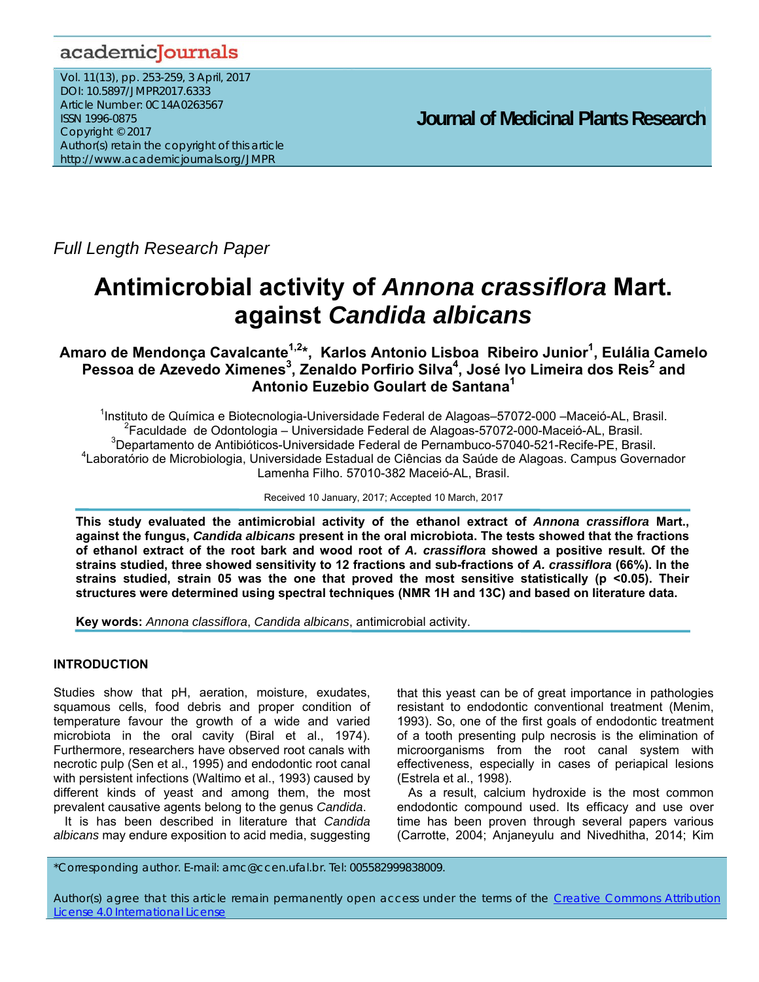# academicJournals

Vol. 11(13), pp. 253-259, 3 April, 2017 DOI: 10.5897/JMPR2017.6333 Article Number: 0C14A0263567 ISSN 1996-0875 Copyright © 2017 Author(s) retain the copyright of this article http://www.academicjournals.org/JMPR

 **Journal of Medicinal Plants Research**

*Full Length Research Paper* 

# **Antimicrobial activity of** *Annona crassiflora* **Mart. against** *Candida albicans*

# Amaro de Mendonça Cavalcante<sup>1,2</sup>\*, Karlos Antonio Lisboa Ribeiro Junior<sup>1</sup>, Eulália Camelo Pessoa de Azevedo Ximenes<sup>3</sup>, Zenaldo Porfirio Silva<sup>4</sup>, José Ivo Limeira dos Reis<sup>2</sup> and **Antonio Euzebio Goulart de Santana1**

<sup>1</sup>Instituto de Química e Biotecnologia-Universidade Federal de Alagoas-57072-000 - Maceió-AL, Brasil.<br><sup>2</sup>Esculdade de Odentalegia - Universidade Federal de Alagoas 57072-000 Maceió AL, Brasil.  ${}^{2}$ Faculdade de Odontologia – Universidade Federal de Alagoas-57072-000-Maceió-AL, Brasil. 3 Departamento de Antibióticos-Universidade Federal de Pernambuco-57040-521-Recife-PE, Brasil. 4 Laboratório de Microbiologia, Universidade Estadual de Ciências da Saúde de Alagoas. Campus Governador Lamenha Filho. 57010-382 Maceió-AL, Brasil.

Received 10 January, 2017; Accepted 10 March, 2017

**This study evaluated the antimicrobial activity of the ethanol extract of** *Annona crassiflora* **Mart., against the fungus,** *Candida albicans* **present in the oral microbiota. The tests showed that the fractions of ethanol extract of the root bark and wood root of** *A. crassiflora* **showed a positive result. Of the strains studied, three showed sensitivity to 12 fractions and sub-fractions of** *A. crassiflora* **(66%). In the strains studied, strain 05 was the one that proved the most sensitive statistically (p <0.05). Their structures were determined using spectral techniques (NMR 1H and 13C) and based on literature data.** 

**Key words:** *Annona classiflora*, *Candida albicans*, antimicrobial activity.

# **INTRODUCTION**

Studies show that pH, aeration, moisture, exudates, squamous cells, food debris and proper condition of temperature favour the growth of a wide and varied microbiota in the oral cavity (Biral et al., 1974). Furthermore, researchers have observed root canals with necrotic pulp (Sen et al., 1995) and endodontic root canal with persistent infections (Waltimo et al., 1993) caused by different kinds of yeast and among them, the most prevalent causative agents belong to the genus *Candida*.

It is has been described in literature that *Candida albicans* may endure exposition to acid media, suggesting that this yeast can be of great importance in pathologies resistant to endodontic conventional treatment (Menim, 1993). So, one of the first goals of endodontic treatment of a tooth presenting pulp necrosis is the elimination of microorganisms from the root canal system with effectiveness, especially in cases of periapical lesions (Estrela et al., 1998).

As a result, calcium hydroxide is the most common endodontic compound used. Its efficacy and use over time has been proven through several papers various (Carrotte, 2004; Anjaneyulu and Nivedhitha, 2014; Kim

\*Corresponding author. E-mail: amc@ccen.ufal.br. Tel: 005582999838009.

Author(s) agree that this article remain permanently open access under the terms of the Creative Commons Attribution License 4.0 International License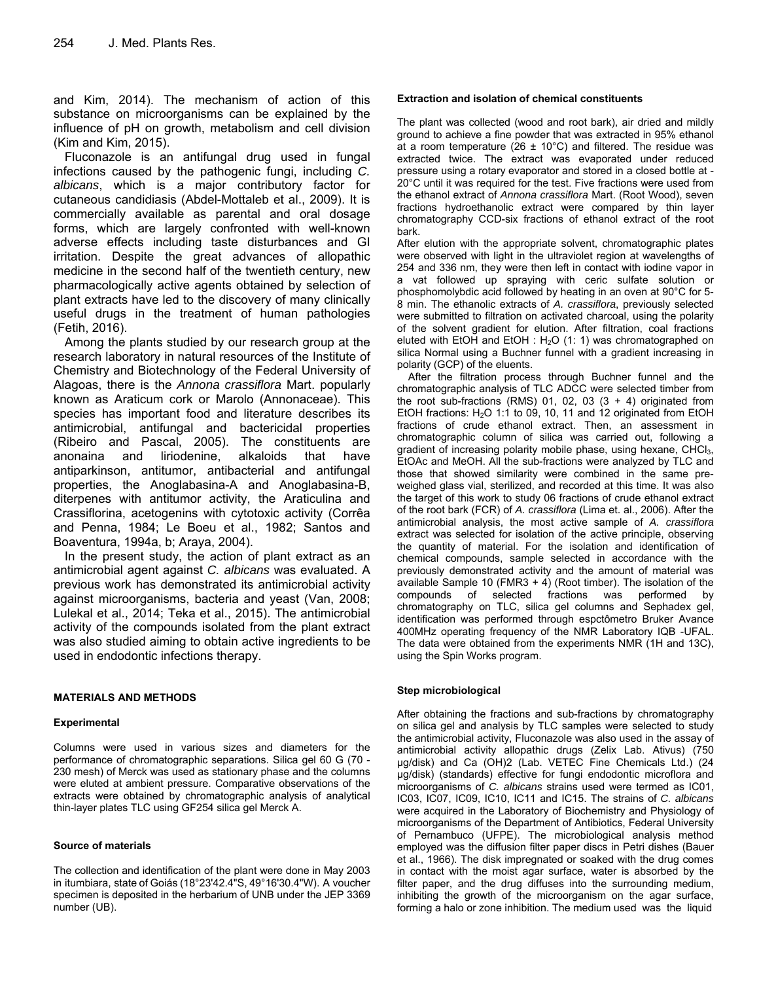and Kim, 2014). The mechanism of action of this substance on microorganisms can be explained by the influence of pH on growth, metabolism and cell division (Kim and Kim, 2015).

Fluconazole is an antifungal drug used in fungal infections caused by the pathogenic fungi, including *C. albicans*, which is a major contributory factor for cutaneous candidiasis (Abdel-Mottaleb et al., 2009). It is commercially available as parental and oral dosage forms, which are largely confronted with well-known adverse effects including taste disturbances and GI irritation. Despite the great advances of allopathic medicine in the second half of the twentieth century, new pharmacologically active agents obtained by selection of plant extracts have led to the discovery of many clinically useful drugs in the treatment of human pathologies (Fetih, 2016).

Among the plants studied by our research group at the research laboratory in natural resources of the Institute of Chemistry and Biotechnology of the Federal University of Alagoas, there is the *Annona crassiflora* Mart. popularly known as Araticum cork or Marolo (Annonaceae). This species has important food and literature describes its antimicrobial, antifungal and bactericidal properties (Ribeiro and Pascal, 2005). The constituents are anonaina and liriodenine, alkaloids that have antiparkinson, antitumor, antibacterial and antifungal properties, the Anoglabasina-A and Anoglabasina-B, diterpenes with antitumor activity, the Araticulina and Crassiflorina, acetogenins with cytotoxic activity (Corrêa and Penna, 1984; Le Boeu et al., 1982; Santos and Boaventura, 1994a, b; Araya, 2004).

In the present study, the action of plant extract as an antimicrobial agent against *C. albicans* was evaluated. A previous work has demonstrated its antimicrobial activity against microorganisms, bacteria and yeast (Van, 2008; Lulekal et al., 2014; Teka et al., 2015). The antimicrobial activity of the compounds isolated from the plant extract was also studied aiming to obtain active ingredients to be used in endodontic infections therapy.

# **MATERIALS AND METHODS**

# **Experimental**

Columns were used in various sizes and diameters for the performance of chromatographic separations. Silica gel 60 G (70 - 230 mesh) of Merck was used as stationary phase and the columns were eluted at ambient pressure. Comparative observations of the extracts were obtained by chromatographic analysis of analytical thin-layer plates TLC using GF254 silica gel Merck A.

# **Source of materials**

The collection and identification of the plant were done in May 2003 in itumbiara, state of Goiás (18°23'42.4"S, 49°16'30.4"W). A voucher specimen is deposited in the herbarium of UNB under the JEP 3369 number (UB).

#### **Extraction and isolation of chemical constituents**

The plant was collected (wood and root bark), air dried and mildly ground to achieve a fine powder that was extracted in 95% ethanol at a room temperature (26  $\pm$  10°C) and filtered. The residue was extracted twice. The extract was evaporated under reduced pressure using a rotary evaporator and stored in a closed bottle at - 20°C until it was required for the test. Five fractions were used from the ethanol extract of *Annona crassiflora* Mart. (Root Wood), seven fractions hydroethanolic extract were compared by thin layer chromatography CCD-six fractions of ethanol extract of the root bark.

After elution with the appropriate solvent, chromatographic plates were observed with light in the ultraviolet region at wavelengths of 254 and 336 nm, they were then left in contact with iodine vapor in a vat followed up spraying with ceric sulfate solution or phosphomolybdic acid followed by heating in an oven at 90°C for 5- 8 min. The ethanolic extracts of *A. crassiflora*, previously selected were submitted to filtration on activated charcoal, using the polarity of the solvent gradient for elution. After filtration, coal fractions eluted with EtOH and EtOH :  $H<sub>2</sub>O$  (1: 1) was chromatographed on silica Normal using a Buchner funnel with a gradient increasing in polarity (GCP) of the eluents.

After the filtration process through Buchner funnel and the chromatographic analysis of TLC ADCC were selected timber from the root sub-fractions (RMS) 01, 02, 03  $(3 + 4)$  originated from EtOH fractions:  $H<sub>2</sub>O$  1:1 to 09, 10, 11 and 12 originated from EtOH fractions of crude ethanol extract. Then, an assessment in chromatographic column of silica was carried out, following a gradient of increasing polarity mobile phase, using hexane, CHCl<sub>3</sub>, EtOAc and MeOH. All the sub-fractions were analyzed by TLC and those that showed similarity were combined in the same preweighed glass vial, sterilized, and recorded at this time. It was also the target of this work to study 06 fractions of crude ethanol extract of the root bark (FCR) of *A. crassiflora* (Lima et. al., 2006). After the antimicrobial analysis, the most active sample of *A. crassiflora* extract was selected for isolation of the active principle, observing the quantity of material. For the isolation and identification of chemical compounds, sample selected in accordance with the previously demonstrated activity and the amount of material was available Sample 10 (FMR3 + 4) (Root timber). The isolation of the compounds of selected fractions was performed by chromatography on TLC, silica gel columns and Sephadex gel, identification was performed through espctômetro Bruker Avance 400MHz operating frequency of the NMR Laboratory IQB -UFAL. The data were obtained from the experiments NMR (1H and 13C), using the Spin Works program.

#### **Step microbiological**

After obtaining the fractions and sub-fractions by chromatography on silica gel and analysis by TLC samples were selected to study the antimicrobial activity, Fluconazole was also used in the assay of antimicrobial activity allopathic drugs (Zelix Lab. Ativus) (750 μg/disk) and Ca (OH)2 (Lab. VETEC Fine Chemicals Ltd.) (24 µg/disk) (standards) effective for fungi endodontic microflora and microorganisms of *C. albicans* strains used were termed as IC01, IC03, IC07, IC09, IC10, IC11 and IC15. The strains of *C. albicans* were acquired in the Laboratory of Biochemistry and Physiology of microorganisms of the Department of Antibiotics, Federal University of Pernambuco (UFPE). The microbiological analysis method employed was the diffusion filter paper discs in Petri dishes (Bauer et al., 1966). The disk impregnated or soaked with the drug comes in contact with the moist agar surface, water is absorbed by the filter paper, and the drug diffuses into the surrounding medium, inhibiting the growth of the microorganism on the agar surface, forming a halo or zone inhibition. The medium used was the liquid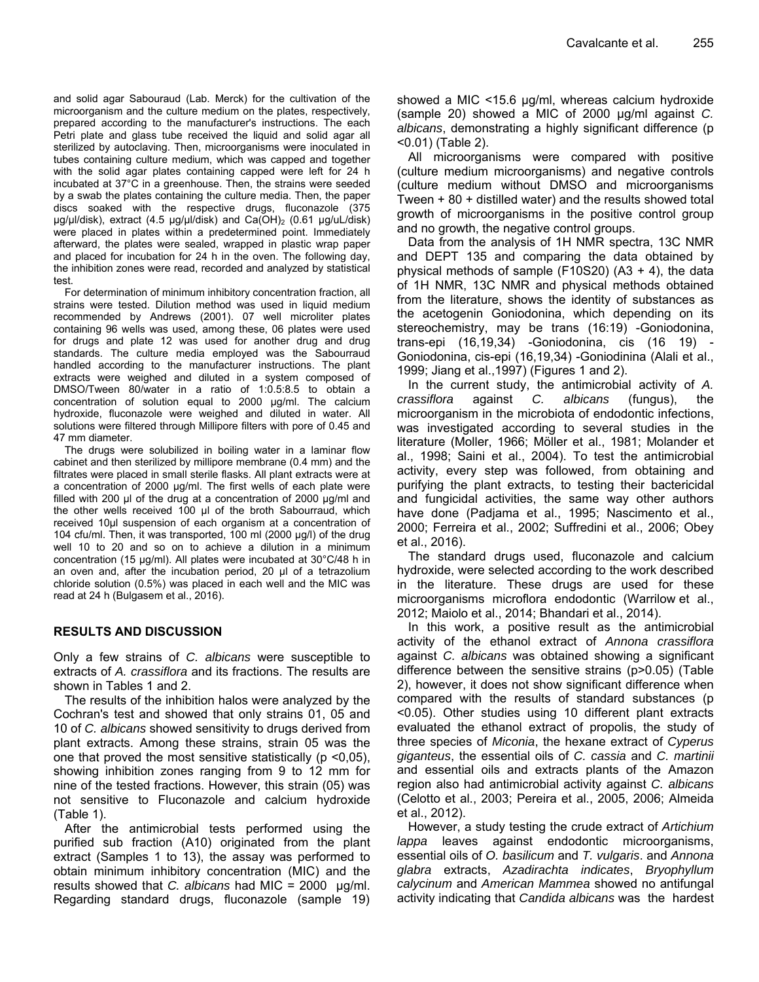and solid agar Sabouraud (Lab. Merck) for the cultivation of the microorganism and the culture medium on the plates, respectively, prepared according to the manufacturer's instructions. The each Petri plate and glass tube received the liquid and solid agar all sterilized by autoclaving. Then, microorganisms were inoculated in tubes containing culture medium, which was capped and together with the solid agar plates containing capped were left for 24 h incubated at 37°C in a greenhouse. Then, the strains were seeded by a swab the plates containing the culture media. Then, the paper discs soaked with the respective drugs, fluconazole (375 µg/µl/disk), extract (4.5 µg/µl/disk) and Ca(OH)<sub>2</sub> (0.61 µg/uL/disk) were placed in plates within a predetermined point. Immediately afterward, the plates were sealed, wrapped in plastic wrap paper and placed for incubation for 24 h in the oven. The following day, the inhibition zones were read, recorded and analyzed by statistical test.

For determination of minimum inhibitory concentration fraction, all strains were tested. Dilution method was used in liquid medium recommended by Andrews (2001). 07 well microliter plates containing 96 wells was used, among these, 06 plates were used for drugs and plate 12 was used for another drug and drug standards. The culture media employed was the Sabourraud handled according to the manufacturer instructions. The plant extracts were weighed and diluted in a system composed of DMSO/Tween 80/water in a ratio of 1:0.5:8.5 to obtain a concentration of solution equal to 2000 μg/ml. The calcium hydroxide, fluconazole were weighed and diluted in water. All solutions were filtered through Millipore filters with pore of 0.45 and 47 mm diameter.

The drugs were solubilized in boiling water in a laminar flow cabinet and then sterilized by millipore membrane (0.4 mm) and the filtrates were placed in small sterile flasks. All plant extracts were at a concentration of 2000 µg/ml. The first wells of each plate were filled with 200 μl of the drug at a concentration of 2000 µg/ml and the other wells received 100 µl of the broth Sabourraud, which received 10µl suspension of each organism at a concentration of 104 cfu/ml. Then, it was transported, 100 ml (2000 µg/l) of the drug well 10 to 20 and so on to achieve a dilution in a minimum concentration (15 µg/ml). All plates were incubated at 30°C/48 h in an oven and, after the incubation period, 20 µl of a tetrazolium chloride solution (0.5%) was placed in each well and the MIC was read at 24 h (Bulgasem et al., 2016).

# **RESULTS AND DISCUSSION**

Only a few strains of *C. albicans* were susceptible to extracts of *A. crassiflora* and its fractions. The results are shown in Tables 1 and 2.

The results of the inhibition halos were analyzed by the Cochran's test and showed that only strains 01, 05 and 10 of *C. albicans* showed sensitivity to drugs derived from plant extracts. Among these strains, strain 05 was the one that proved the most sensitive statistically ( $p$  <0,05), showing inhibition zones ranging from 9 to 12 mm for nine of the tested fractions. However, this strain (05) was not sensitive to Fluconazole and calcium hydroxide (Table 1).

After the antimicrobial tests performed using the purified sub fraction (A10) originated from the plant extract (Samples 1 to 13), the assay was performed to obtain minimum inhibitory concentration (MIC) and the results showed that *C. albicans* had MIC = 2000 μg/ml. Regarding standard drugs, fluconazole (sample 19) showed a MIC <15.6 μg/ml, whereas calcium hydroxide (sample 20) showed a MIC of 2000 μg/ml against *C. albicans*, demonstrating a highly significant difference (p <0.01) (Table 2).

All microorganisms were compared with positive (culture medium microorganisms) and negative controls (culture medium without DMSO and microorganisms Tween + 80 + distilled water) and the results showed total growth of microorganisms in the positive control group and no growth, the negative control groups.

Data from the analysis of 1H NMR spectra, 13C NMR and DEPT 135 and comparing the data obtained by physical methods of sample (F10S20)  $(A3 + 4)$ , the data of 1H NMR, 13C NMR and physical methods obtained from the literature, shows the identity of substances as the acetogenin Goniodonina, which depending on its stereochemistry, may be trans (16:19) -Goniodonina, trans-epi (16,19,34) -Goniodonina, cis (16 19) - Goniodonina, cis-epi (16,19,34) -Goniodinina (Alali et al., 1999; Jiang et al.,1997) (Figures 1 and 2).

In the current study, the antimicrobial activity of *A. crassiflora* against *C. albicans* (fungus), the microorganism in the microbiota of endodontic infections, was investigated according to several studies in the literature (Moller, 1966; Möller et al., 1981; Molander et al., 1998; Saini et al., 2004). To test the antimicrobial activity, every step was followed, from obtaining and purifying the plant extracts, to testing their bactericidal and fungicidal activities, the same way other authors have done (Padjama et al., 1995; Nascimento et al., 2000; Ferreira et al., 2002; Suffredini et al., 2006; Obey et al., 2016).

The standard drugs used, fluconazole and calcium hydroxide, were selected according to the work described in the literature. These drugs are used for these microorganisms microflora endodontic (Warrilow et al., 2012; Maiolo et al., 2014; Bhandari et al., 2014).

In this work, a positive result as the antimicrobial activity of the ethanol extract of *Annona crassiflora* against *C. albicans* was obtained showing a significant difference between the sensitive strains (p>0.05) (Table 2), however, it does not show significant difference when compared with the results of standard substances (p <0.05). Other studies using 10 different plant extracts evaluated the ethanol extract of propolis, the study of three species of *Miconia*, the hexane extract of *Cyperus giganteus*, the essential oils of *C. cassia* and *C. martinii* and essential oils and extracts plants of the Amazon region also had antimicrobial activity against *C. albicans* (Celotto et al., 2003; Pereira et al., 2005, 2006; Almeida et al., 2012).

However, a study testing the crude extract of *Artichium lappa* leaves against endodontic microorganisms, essential oils of *O. basilicum* and *T. vulgaris*. and *Annona glabra* extracts, *Azadirachta indicates*, *Bryophyllum calycinum* and *American Mammea* showed no antifungal activity indicating that *Candida albicans* was the hardest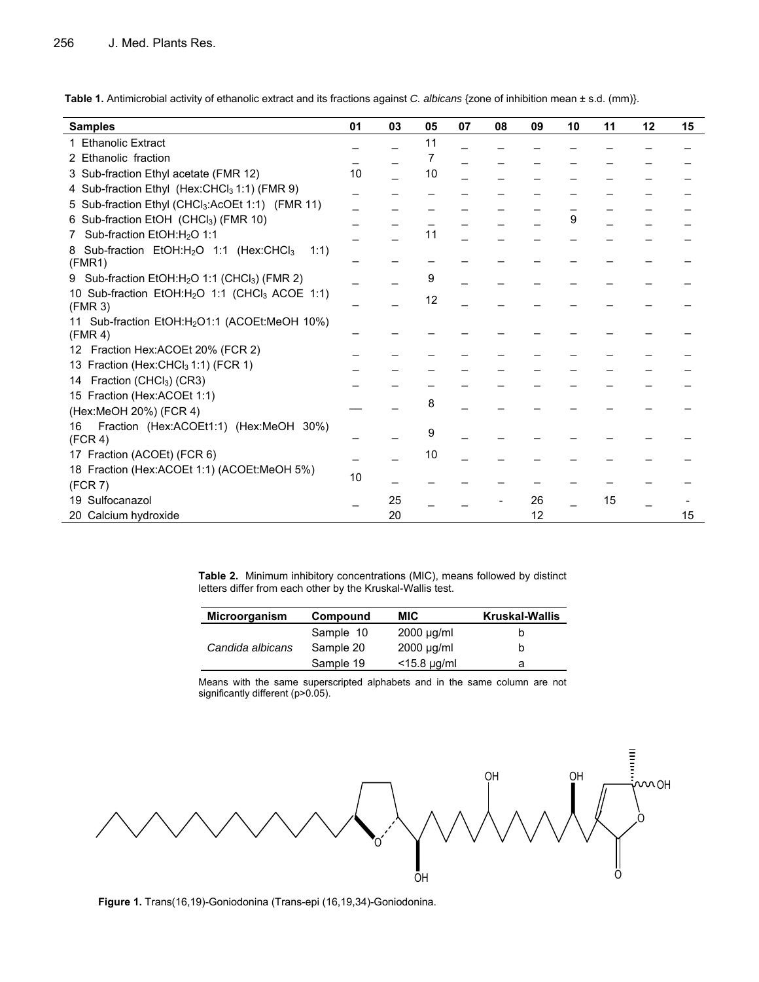**Table 1.** Antimicrobial activity of ethanolic extract and its fractions against *C. albicans* {zone of inhibition mean ± s.d. (mm)}.

| <b>Samples</b>                                                             | 01 | 03 | 05 | 07 | 08 | 09 | 10 | 11 | 12 | 15 |
|----------------------------------------------------------------------------|----|----|----|----|----|----|----|----|----|----|
| 1 Ethanolic Extract                                                        |    |    | 11 |    |    |    |    |    |    |    |
| 2 Ethanolic fraction                                                       |    |    | 7  |    |    |    |    |    |    |    |
| 3 Sub-fraction Ethyl acetate (FMR 12)                                      | 10 |    | 10 |    |    |    |    |    |    |    |
| 4 Sub-fraction Ethyl (Hex:CHCl <sub>3</sub> 1:1) (FMR 9)                   |    |    |    |    |    |    |    |    |    |    |
| 5 Sub-fraction Ethyl (CHCl <sub>3</sub> :AcOEt 1:1) (FMR 11)               |    |    |    |    |    |    |    |    |    |    |
| 6 Sub-fraction EtOH (CHCl <sub>3</sub> ) (FMR 10)                          |    |    |    |    |    |    | 9  |    |    |    |
| Sub-fraction EtOH:H <sub>2</sub> O 1:1                                     |    |    | 11 |    |    |    |    |    |    |    |
| Sub-fraction EtOH:H <sub>2</sub> O 1:1 (Hex:CHCl <sub>3</sub><br>1:1)<br>8 |    |    |    |    |    |    |    |    |    |    |
| (FMR1)                                                                     |    |    |    |    |    |    |    |    |    |    |
| Sub-fraction $EtOH:H2O$ 1:1 (CHCl <sub>3</sub> ) (FMR 2)<br>9              |    |    | 9  |    |    |    |    |    |    |    |
| 10 Sub-fraction EtOH:H <sub>2</sub> O 1:1 (CHCl <sub>3</sub> ACOE 1:1)     |    |    | 12 |    |    |    |    |    |    |    |
| (FMR 3)                                                                    |    |    |    |    |    |    |    |    |    |    |
| 11 Sub-fraction EtOH:H <sub>2</sub> O1:1 (ACOEt:MeOH 10%)                  |    |    |    |    |    |    |    |    |    |    |
| (FMR 4)                                                                    |    |    |    |    |    |    |    |    |    |    |
| 12 Fraction Hex:ACOEt 20% (FCR 2)                                          |    |    |    |    |    |    |    |    |    |    |
| 13 Fraction (Hex:CHCl <sub>3</sub> 1:1) (FCR 1)                            |    |    |    |    |    |    |    |    |    |    |
| Fraction (CHCl <sub>3</sub> ) (CR3)<br>14                                  |    |    |    |    |    |    |    |    |    |    |
| 15 Fraction (Hex:ACOEt 1:1)                                                |    |    | 8  |    |    |    |    |    |    |    |
| (Hex:MeOH 20%) (FCR 4)                                                     |    |    |    |    |    |    |    |    |    |    |
| Fraction (Hex:ACOEt1:1) (Hex:MeOH 30%)<br>16                               |    |    | 9  |    |    |    |    |    |    |    |
| (FCR 4)                                                                    |    |    |    |    |    |    |    |    |    |    |
| 17 Fraction (ACOEt) (FCR 6)                                                |    |    | 10 |    |    |    |    |    |    |    |
| 18 Fraction (Hex:ACOEt 1:1) (ACOEt:MeOH 5%)                                | 10 |    |    |    |    |    |    |    |    |    |
| (FCR 7)                                                                    |    |    |    |    |    |    |    |    |    |    |
| Sulfocanazol<br>19                                                         |    | 25 |    |    |    | 26 |    | 15 |    |    |
| 20 Calcium hydroxide                                                       |    | 20 |    |    |    | 12 |    |    |    | 15 |

**Table 2.** Minimum inhibitory concentrations (MIC), means followed by distinct letters differ from each other by the Kruskal-Wallis test.

| Microorganism    | Compound  | <b>MIC</b>          | <b>Kruskal-Wallis</b> |
|------------------|-----------|---------------------|-----------------------|
| Candida albicans | Sample 10 | $2000 \mu q/ml$     |                       |
|                  | Sample 20 | $2000 \mu q/ml$     |                       |
|                  | Sample 19 | $<$ 15.8 $\mu$ g/ml |                       |

Means with the same superscripted alphabets and in the same column are not significantly different (p>0.05).



**Figure 1.** Trans(16,19)-Goniodonina (Trans-epi (16,19,34)-Goniodonina.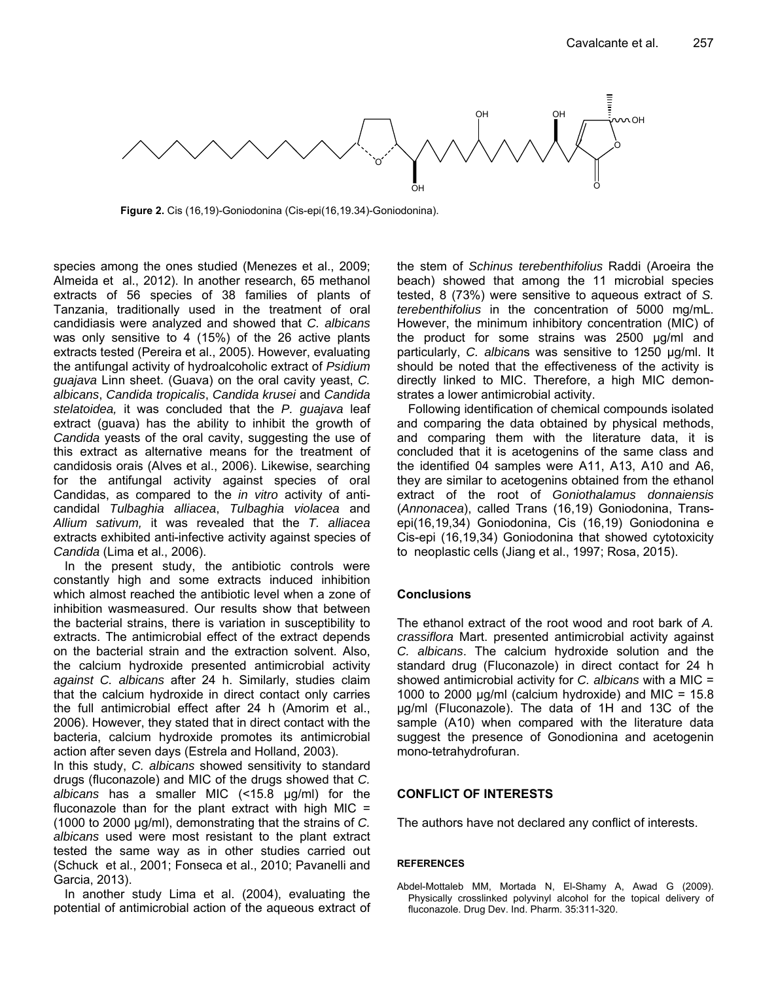

**Figure 2.** Cis (16,19)-Goniodonina (Cis-epi(16,19.34)-Goniodonina).

species among the ones studied (Menezes et al., 2009; Almeida et al., 2012). In another research, 65 methanol extracts of 56 species of 38 families of plants of Tanzania, traditionally used in the treatment of oral candidiasis were analyzed and showed that *C. albicans* was only sensitive to 4 (15%) of the 26 active plants extracts tested (Pereira et al., 2005). However, evaluating the antifungal activity of hydroalcoholic extract of *Psidium guajava* Linn sheet. (Guava) on the oral cavity yeast, *C. albicans*, *Candida tropicalis*, *Candida krusei* and *Candida stelatoidea,* it was concluded that the *P. guajava* leaf extract (guava) has the ability to inhibit the growth of *Candida* yeasts of the oral cavity, suggesting the use of this extract as alternative means for the treatment of candidosis orais (Alves et al., 2006). Likewise, searching for the antifungal activity against species of oral Candidas, as compared to the *in vitro* activity of anticandidal *Tulbaghia alliacea*, *Tulbaghia violacea* and *Allium sativum,* it was revealed that the *T. alliacea* extracts exhibited anti-infective activity against species of *Candida* (Lima et al., 2006).

In the present study, the antibiotic controls were constantly high and some extracts induced inhibition which almost reached the antibiotic level when a zone of inhibition wasmeasured. Our results show that between the bacterial strains, there is variation in susceptibility to extracts. The antimicrobial effect of the extract depends on the bacterial strain and the extraction solvent. Also, the calcium hydroxide presented antimicrobial activity *against C. albicans* after 24 h. Similarly, studies claim that the calcium hydroxide in direct contact only carries the full antimicrobial effect after 24 h (Amorim et al., 2006). However, they stated that in direct contact with the bacteria, calcium hydroxide promotes its antimicrobial action after seven days (Estrela and Holland, 2003).

In this study, *C. albicans* showed sensitivity to standard drugs (fluconazole) and MIC of the drugs showed that *C. albicans* has a smaller MIC (<15.8 µg/ml) for the fluconazole than for the plant extract with high MIC  $=$ (1000 to 2000 μg/ml), demonstrating that the strains of *C. albicans* used were most resistant to the plant extract tested the same way as in other studies carried out (Schuck et al., 2001; Fonseca et al., 2010; Pavanelli and Garcia, 2013).

In another study Lima et al. (2004), evaluating the potential of antimicrobial action of the aqueous extract of the stem of *Schinus terebenthifolius* Raddi (Aroeira the beach) showed that among the 11 microbial species tested, 8 (73%) were sensitive to aqueous extract of *S. terebenthifolius* in the concentration of 5000 mg/mL. However, the minimum inhibitory concentration (MIC) of the product for some strains was 2500 µg/ml and particularly, *C. albican*s was sensitive to 1250 µg/ml. It should be noted that the effectiveness of the activity is directly linked to MIC. Therefore, a high MIC demonstrates a lower antimicrobial activity.

Following identification of chemical compounds isolated and comparing the data obtained by physical methods, and comparing them with the literature data, it is concluded that it is acetogenins of the same class and the identified 04 samples were A11, A13, A10 and A6, they are similar to acetogenins obtained from the ethanol extract of the root of *Goniothalamus donnaiensis* (*Annonacea*), called Trans (16,19) Goniodonina, Transepi(16,19,34) Goniodonina, Cis (16,19) Goniodonina e Cis-epi (16,19,34) Goniodonina that showed cytotoxicity to neoplastic cells (Jiang et al., 1997; Rosa, 2015).

# **Conclusions**

The ethanol extract of the root wood and root bark of *A. crassiflora* Mart. presented antimicrobial activity against *C. albicans*. The calcium hydroxide solution and the standard drug (Fluconazole) in direct contact for 24 h showed antimicrobial activity for *C. albicans* with a MIC = 1000 to 2000  $\mu$ g/ml (calcium hydroxide) and MIC = 15.8 μg/ml (Fluconazole). The data of 1H and 13C of the sample (A10) when compared with the literature data suggest the presence of Gonodionina and acetogenin mono-tetrahydrofuran.

# **CONFLICT OF INTERESTS**

The authors have not declared any conflict of interests.

# **REFERENCES**

Abdel-Mottaleb MM, Mortada N, El-Shamy A, Awad G (2009). Physically crosslinked polyvinyl alcohol for the topical delivery of fluconazole. Drug Dev. Ind. Pharm. 35:311-320.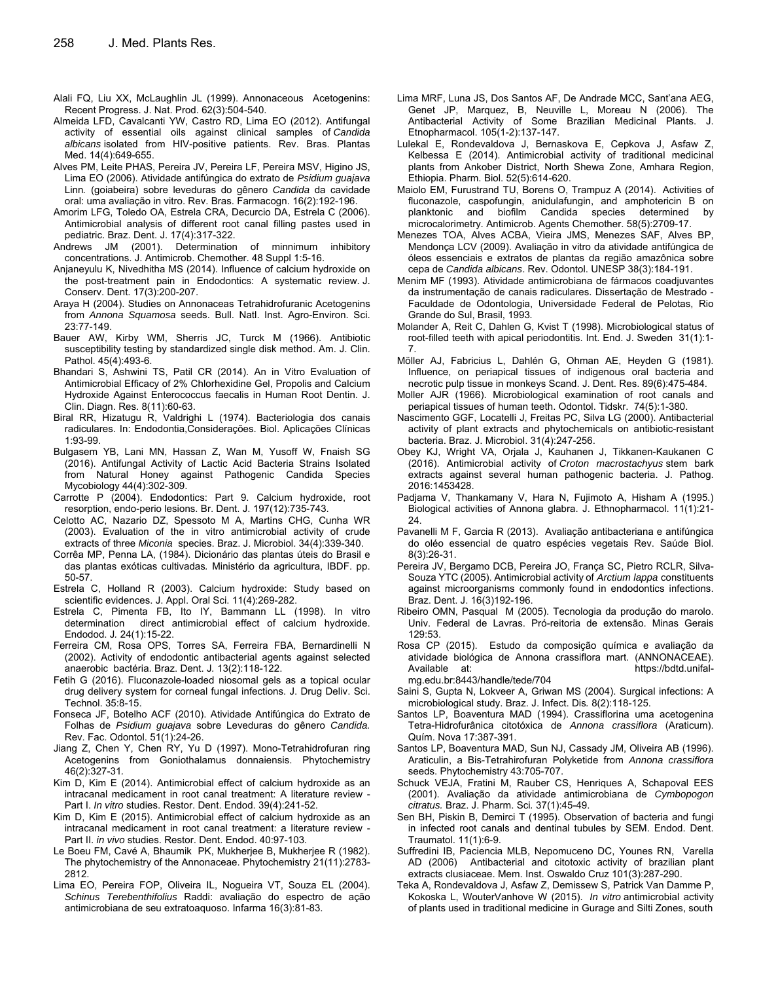- Alali FQ, Liu XX, McLaughlin JL (1999). Annonaceous Acetogenins: Recent Progress. J. Nat. Prod. 62(3):504-540.
- Almeida LFD, Cavalcanti YW, Castro RD, Lima EO (2012). Antifungal activity of essential oils against clinical samples of *Candida albicans* isolated from HIV-positive patients. Rev. Bras. Plantas Med. 14(4):649-655.
- Alves PM, Leite PHAS, Pereira JV, Pereira LF, Pereira MSV, Higino JS, Lima EO (2006). Atividade antifúngica do extrato de *Psidium guajava*  Linn*.* (goiabeira) sobre leveduras do gênero *Candida* da cavidade oral: uma avaliação in vitro. Rev. Bras. Farmacogn. 16(2):192-196.
- Amorim LFG, Toledo OA, Estrela CRA, Decurcio DA, Estrela C (2006). Antimicrobial analysis of different root canal filling pastes used in pediatric. Braz. Dent. J. 17(4):317-322.
- Andrews JM (2001). Determination of minnimum inhibitory concentrations. J. Antimicrob. Chemother. 48 Suppl 1:5-16.
- Anjaneyulu K, Nivedhitha MS (2014). Influence of calcium hydroxide on the post-treatment pain in Endodontics: A systematic review. J. Conserv. Dent. 17(3):200-207.
- Araya H (2004). Studies on Annonaceas Tetrahidrofuranic Acetogenins from *Annona Squamosa* seeds. Bull. Natl. Inst. Agro-Environ. Sci. 23:77-149.
- Bauer AW, Kirby WM, Sherris JC, Turck M (1966). Antibiotic susceptibility testing by standardized single disk method. Am. J. Clin. Pathol. 45(4):493-6.
- Bhandari S, Ashwini TS, Patil CR (2014). An in Vitro Evaluation of Antimicrobial Efficacy of 2% Chlorhexidine Gel, Propolis and Calcium Hydroxide Against Enterococcus faecalis in Human Root Dentin. J. Clin. Diagn. Res. 8(11):60-63.
- Biral RR, Hizatugu R, Valdrighi L (1974). Bacteriologia dos canais radiculares. In: Endodontia,Considerações. Biol. Aplicações Clínicas 1:93-99.
- Bulgasem YB, Lani MN, Hassan Z, Wan M, Yusoff W, Fnaish SG (2016). Antifungal Activity of Lactic Acid Bacteria Strains Isolated from Natural Honey against Pathogenic Candida Species Mycobiology 44(4):302-309.
- Carrotte P (2004). Endodontics: Part 9. Calcium hydroxide, root resorption, endo-perio lesions. Br. Dent. J. 197(12):735-743.
- Celotto AC, Nazario DZ, Spessoto M A, Martins CHG, Cunha WR (2003). Evaluation of the in vitro antimicrobial activity of crude extracts of three *Miconia* species. Braz. J. Microbiol. 34(4):339-340.
- Corrêa MP, Penna LA, (1984). Dicionário das plantas úteis do Brasil e das plantas exóticas cultivadas*.* Ministério da agricultura, IBDF. pp. 50-57.
- Estrela C, Holland R (2003). Calcium hydroxide: Study based on scientific evidences. J. Appl. Oral Sci. 11(4):269-282.
- Estrela C, Pimenta FB, Ito IY, Bammann LL (1998). In vitro determination direct antimicrobial effect of calcium hydroxide. Endodod. J*.* 24(1):15-22.
- Ferreira CM, Rosa OPS, Torres SA, Ferreira FBA, Bernardinelli N (2002). Activity of endodontic antibacterial agents against selected anaerobic bactéria. Braz. Dent. J*.* 13(2):118-122.
- Fetih G (2016). Fluconazole-loaded niosomal gels as a topical ocular drug delivery system for corneal fungal infections. J. Drug Deliv. Sci. Technol. 35:8-15.
- Fonseca JF, Botelho ACF (2010). Atividade Antifúngica do Extrato de Folhas de *Psidium guajava* sobre Leveduras do gênero *Candida.*  Rev. Fac. Odontol. 51(1):24-26.
- Jiang Z, Chen Y, Chen RY, Yu D (1997). Mono-Tetrahidrofuran ring Acetogenins from Goniothalamus donnaiensis. Phytochemistry 46(2):327-31*.*
- Kim D, Kim E (2014). Antimicrobial effect of calcium hydroxide as an intracanal medicament in root canal treatment: A literature review - Part I. *In vitro* studies. Restor. Dent. Endod. 39(4):241-52.
- Kim D, Kim E (2015). Antimicrobial effect of calcium hydroxide as an intracanal medicament in root canal treatment: a literature review - Part II. *in vivo* studies. Restor. Dent. Endod. 40:97-103.
- Le Boeu FM, Cavé A, Bhaumik PK, Mukherjee B, Mukherjee R (1982). The phytochemistry of the Annonaceae. Phytochemistry 21(11):2783- 2812.
- Lima EO, Pereira FOP, Oliveira IL, Nogueira VT, Souza EL (2004). *Schinus Terebenthifolius* Raddi: avaliação do espectro de ação antimicrobiana de seu extratoaquoso. Infarma 16(3):81-83.
- Lima MRF, Luna JS, Dos Santos AF, De Andrade MCC, Sant'ana AEG, Genet JP, Marquez, B, Neuville L, Moreau N (2006). The Antibacterial Activity of Some Brazilian Medicinal Plants. J. Etnopharmacol. 105(1-2):137-147.
- Lulekal E, Rondevaldova J, Bernaskova E, Cepkova J, Asfaw Z, Kelbessa E (2014). Antimicrobial activity of traditional medicinal plants from Ankober District, North Shewa Zone, Amhara Region, Ethiopia. Pharm. Biol. 52(5):614-620.
- Maiolo EM, Furustrand TU, Borens O, Trampuz A (2014). Activities of fluconazole, caspofungin, anidulafungin, and amphotericin B on planktonic and biofilm Candida species determined by microcalorimetry. Antimicrob. Agents Chemother. 58(5):2709-17.
- Menezes TOA, Alves ACBA, Vieira JMS, Menezes SAF, Alves BP, Mendonça LCV (2009). Avaliação in vitro da atividade antifúngica de óleos essenciais e extratos de plantas da região amazônica sobre cepa de *Candida albicans*. Rev. Odontol. UNESP 38(3):184-191.
- Menim MF (1993). Atividade antimicrobiana de fármacos coadjuvantes da instrumentação de canais radiculares. Dissertação de Mestrado - Faculdade de Odontologia, Universidade Federal de Pelotas, Rio Grande do Sul, Brasil, 1993*.*
- Molander A, Reit C, Dahlen G, Kvist T (1998). Microbiological status of root-filled teeth with apical periodontitis. Int. End. J. Sweden 31(1):1- 7.
- Möller AJ, Fabricius L, Dahlén G, Ohman AE, Heyden G (1981). Influence, on periapical tissues of indigenous oral bacteria and necrotic pulp tissue in monkeys Scand. J. Dent. Res. 89(6):475-484.
- Moller AJR (1966). Microbiological examination of root canals and periapical tissues of human teeth. Odontol. Tidskr. 74(5):1-380.
- Nascimento GGF, Locatelli J, Freitas PC, Silva LG (2000). Antibacterial activity of plant extracts and phytochemicals on antibiotic-resistant bacteria. Braz. J. Microbiol. 31(4):247-256.
- Obey KJ, Wright VA, Orjala J, Kauhanen J, Tikkanen-Kaukanen C (2016). Antimicrobial activity of *Croton macrostachyus* stem bark extracts against several human pathogenic bacteria. J. Pathog. 2016:1453428.
- Padjama V, Thankamany V, Hara N, Fujimoto A, Hisham A (1995.) Biological activities of Annona glabra. J. Ethnopharmacol. 11(1):21- 24.
- Pavanelli M F, Garcia R (2013). Avaliação antibacteriana e antifúngica do oléo essencial de quatro espécies vegetais Rev. Saúde Biol. 8(3):26-31.
- Pereira JV, Bergamo DCB, Pereira JO, França SC, Pietro RCLR, Silva-Souza YTC (2005). Antimicrobial activity of *Arctium lappa* constituents against microorganisms commonly found in endodontics infections. Braz. Dent. J. 16(3)192-196.
- Ribeiro OMN, Pasqual M (2005). Tecnologia da produção do marolo. Univ. Federal de Lavras. Pró-reitoria de extensão. Minas Gerais 129:53.
- Rosa CP (2015). Estudo da composição química e avaliação da atividade biológica de Annona crassiflora mart. (ANNONACEAE). Available at: https://bdtd.unifal-
- mg.edu.br:8443/handle/tede/704
- Saini S, Gupta N, Lokveer A, Griwan MS (2004). Surgical infections: A microbiological study. Braz. J. Infect. Dis*.* 8(2):118-125.
- Santos LP, Boaventura MAD (1994). Crassiflorina uma acetogenina Tetra-Hidrofurânica citotóxica de *Annona crassiflora* (Araticum). Quím. Nova 17:387-391.
- Santos LP, Boaventura MAD, Sun NJ, Cassady JM, Oliveira AB (1996). Araticulin, a Bis-Tetrahirofuran Polyketide from *Annona crassiflora* seeds. Phytochemistry 43:705-707.
- Schuck VEJA, Fratini M, Rauber CS, Henriques A, Schapoval EES (2001). Avaliação da atividade antimicrobiana de *Cymbopogon citratus.* Braz. J. Pharm. Sci*.* 37(1):45-49.
- Sen BH, Piskin B, Demirci T (1995). Observation of bacteria and fungi in infected root canals and dentinal tubules by SEM. Endod. Dent. Traumatol. 11(1):6-9.
- Suffredini IB, Paciencia MLB, Nepomuceno DC, Younes RN, Varella AD (2006) Antibacterial and citotoxic activity of brazilian plant extracts clusiaceae. Mem. Inst. Oswaldo Cruz 101(3):287-290.
- Teka A, Rondevaldova J, Asfaw Z, Demissew S, Patrick Van Damme P, Kokoska L, WouterVanhove W (2015). *In vitro* antimicrobial activity of plants used in traditional medicine in Gurage and Silti Zones, south